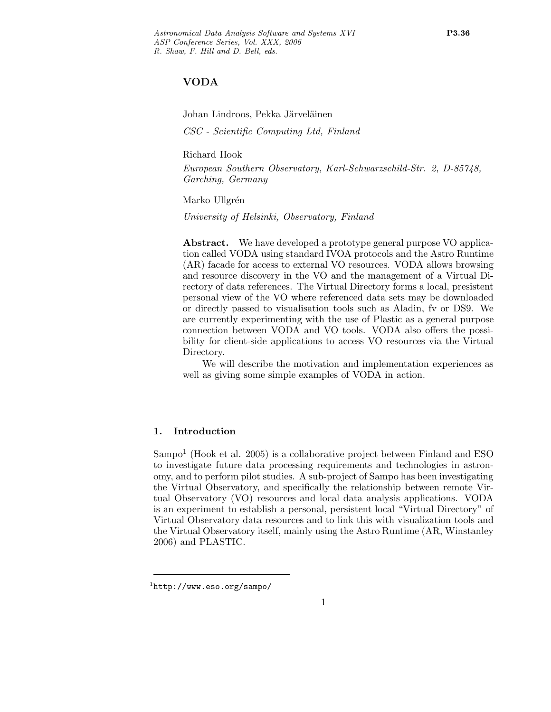# VODA

Johan Lindroos, Pekka Järveläinen CSC - Scientific Computing Ltd, Finland

Richard Hook

European Southern Observatory, Karl-Schwarzschild-Str. 2, D-85748, Garching, Germany

Marko Ullgrén

University of Helsinki, Observatory, Finland

Abstract. We have developed a prototype general purpose VO application called VODA using standard IVOA protocols and the Astro Runtime (AR) facade for access to external VO resources. VODA allows browsing and resource discovery in the VO and the management of a Virtual Directory of data references. The Virtual Directory forms a local, presistent personal view of the VO where referenced data sets may be downloaded or directly passed to visualisation tools such as Aladin, fv or DS9. We are currently experimenting with the use of Plastic as a general purpose connection between VODA and VO tools. VODA also offers the possibility for client-side applications to access VO resources via the Virtual Directory.

We will describe the motivation and implementation experiences as well as giving some simple examples of VODA in action.

### 1. Introduction

 $Sampo<sup>1</sup>$  (Hook et al. 2005) is a collaborative project between Finland and ESO to investigate future data processing requirements and technologies in astronomy, and to perform pilot studies. A sub-project of Sampo has been investigating the Virtual Observatory, and specifically the relationship between remote Virtual Observatory (VO) resources and local data analysis applications. VODA is an experiment to establish a personal, persistent local "Virtual Directory" of Virtual Observatory data resources and to link this with visualization tools and the Virtual Observatory itself, mainly using the Astro Runtime (AR, Winstanley 2006) and PLASTIC.

 $\frac{1}{1}$ http://www.eso.org/sampo/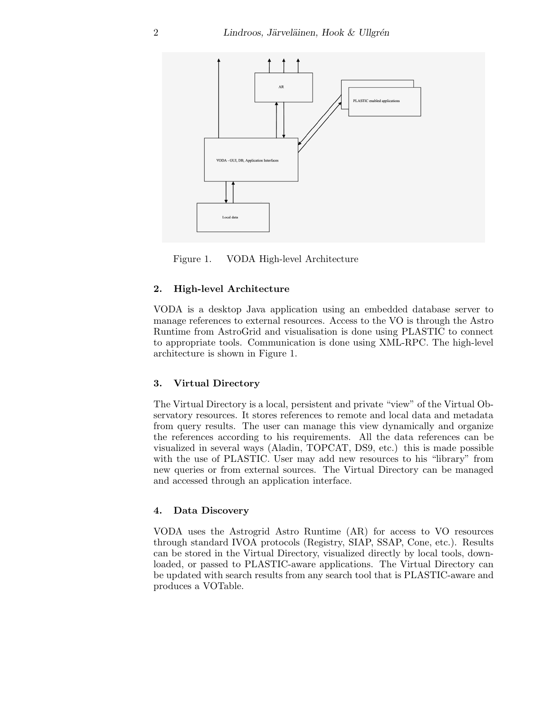

Figure 1. VODA High-level Architecture

# 2. High-level Architecture

VODA is a desktop Java application using an embedded database server to manage references to external resources. Access to the VO is through the Astro Runtime from AstroGrid and visualisation is done using PLASTIC to connect to appropriate tools. Communication is done using XML-RPC. The high-level architecture is shown in Figure 1.

#### 3. Virtual Directory

The Virtual Directory is a local, persistent and private "view" of the Virtual Observatory resources. It stores references to remote and local data and metadata from query results. The user can manage this view dynamically and organize the references according to his requirements. All the data references can be visualized in several ways (Aladin, TOPCAT, DS9, etc.) this is made possible with the use of PLASTIC. User may add new resources to his "library" from new queries or from external sources. The Virtual Directory can be managed and accessed through an application interface.

#### 4. Data Discovery

VODA uses the Astrogrid Astro Runtime (AR) for access to VO resources through standard IVOA protocols (Registry, SIAP, SSAP, Cone, etc.). Results can be stored in the Virtual Directory, visualized directly by local tools, downloaded, or passed to PLASTIC-aware applications. The Virtual Directory can be updated with search results from any search tool that is PLASTIC-aware and produces a VOTable.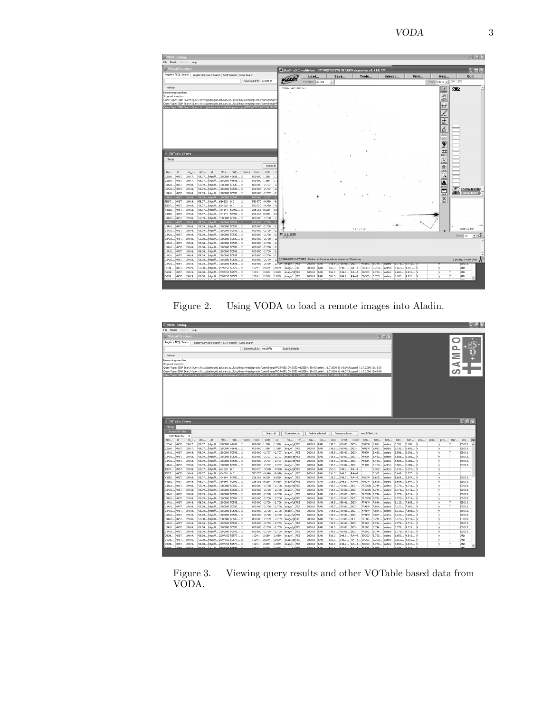VODA 3



Figure 2. Using VODA to load a remote images into Aladin.

| VODA Desktop                                                                                                                                                                                                                                                                                                                                                                                                                                                                                                                                                     |                                                       |       |                            |                |                                                |                  |                 |                |                                  |               |                                      |                |                        |                        |                 |     |      |     |                         | $\Box$ alx       |
|------------------------------------------------------------------------------------------------------------------------------------------------------------------------------------------------------------------------------------------------------------------------------------------------------------------------------------------------------------------------------------------------------------------------------------------------------------------------------------------------------------------------------------------------------------------|-------------------------------------------------------|-------|----------------------------|----------------|------------------------------------------------|------------------|-----------------|----------------|----------------------------------|---------------|--------------------------------------|----------------|------------------------|------------------------|-----------------|-----|------|-----|-------------------------|------------------|
| Help<br>File Plastic Window                                                                                                                                                                                                                                                                                                                                                                                                                                                                                                                                      |                                                       |       |                            |                |                                                |                  |                 |                |                                  |               |                                      |                |                        |                        |                 |     |      |     |                         |                  |
| <b>Co</b> Virtual Directory                                                                                                                                                                                                                                                                                                                                                                                                                                                                                                                                      |                                                       |       |                            |                |                                                |                  |                 |                |                                  |               |                                      |                | $\Box$ $\Box$ $\times$ |                        |                 |     |      |     |                         |                  |
| Registry ADQL Search Registry Keyword Search SIAP Search Cone Search                                                                                                                                                                                                                                                                                                                                                                                                                                                                                             |                                                       |       |                            |                |                                                |                  |                 |                |                                  |               |                                      |                |                        |                        |                 |     |      |     |                         |                  |
|                                                                                                                                                                                                                                                                                                                                                                                                                                                                                                                                                                  |                                                       |       | Save result to: resultFile |                | Submit Search                                  |                  |                 |                |                                  |               |                                      |                |                        |                        |                 |     |      |     |                         |                  |
|                                                                                                                                                                                                                                                                                                                                                                                                                                                                                                                                                                  |                                                       |       |                            |                |                                                |                  |                 |                |                                  |               |                                      |                |                        |                        |                 |     |      |     |                         |                  |
| Refresh                                                                                                                                                                                                                                                                                                                                                                                                                                                                                                                                                          |                                                       |       |                            |                |                                                |                  |                 |                |                                  |               |                                      |                |                        |                        |                 |     |      |     |                         |                  |
| No running searches:                                                                                                                                                                                                                                                                                                                                                                                                                                                                                                                                             |                                                       |       |                            |                |                                                |                  |                 |                |                                  |               |                                      |                |                        |                        |                 |     |      |     | $\overline{\mathsf{M}}$ |                  |
| Stopped searches:<br>CueryType: SIAP Search Cuery: http://astrogrid.ast.cam.ac.uk/cgi-bin/swire/siap-atlas/queryImage?POS=252.0%2C52.08SIZE=180.0 Started: 11.7.2006 13:16:30 Stopped: 11.7.2006 13:16:30                                                                                                                                                                                                                                                                                                                                                        |                                                       |       |                            |                |                                                |                  |                 |                |                                  |               |                                      |                |                        |                        |                 |     |      |     |                         |                  |
| CueryType: SIAP Search Query: http://astrogrid.ast.cam.ac.uk/cgi-bin/swire/siap-atlas/queryImage?POS=252.0%2C53.0&SIZE=180.0 Started: 11.7.2006 13:49:07 Stopped: 11.7.2006 13:49:08                                                                                                                                                                                                                                                                                                                                                                             |                                                       |       |                            |                |                                                |                  |                 |                |                                  |               |                                      |                |                        |                        |                 |     |      |     |                         |                  |
| QueryType: SIAP Search Query: http://archive.stsci.edu/siap/search.php?POS=252.0%2C-60.085IZE=5.0 Started: 11.7.2006 13:50:09 Stopped: 11.7.2006 13:50:12                                                                                                                                                                                                                                                                                                                                                                                                        |                                                       |       |                            |                |                                                |                  |                 |                |                                  |               |                                      |                |                        |                        |                 |     |      |     |                         |                  |
|                                                                                                                                                                                                                                                                                                                                                                                                                                                                                                                                                                  |                                                       |       |                            |                |                                                |                  |                 |                |                                  |               |                                      |                |                        |                        |                 |     |      |     |                         |                  |
|                                                                                                                                                                                                                                                                                                                                                                                                                                                                                                                                                                  |                                                       |       |                            |                |                                                |                  |                 |                |                                  |               |                                      |                |                        |                        |                 |     |      |     |                         |                  |
|                                                                                                                                                                                                                                                                                                                                                                                                                                                                                                                                                                  |                                                       |       |                            |                |                                                |                  |                 |                |                                  |               |                                      |                |                        |                        |                 |     |      |     |                         |                  |
|                                                                                                                                                                                                                                                                                                                                                                                                                                                                                                                                                                  |                                                       |       |                            |                |                                                |                  |                 |                |                                  |               |                                      |                |                        |                        |                 |     |      |     |                         |                  |
|                                                                                                                                                                                                                                                                                                                                                                                                                                                                                                                                                                  |                                                       |       |                            |                |                                                |                  |                 |                |                                  |               |                                      |                |                        |                        |                 |     |      |     |                         |                  |
|                                                                                                                                                                                                                                                                                                                                                                                                                                                                                                                                                                  |                                                       |       |                            |                |                                                |                  |                 |                |                                  |               |                                      |                |                        |                        |                 |     |      |     |                         |                  |
|                                                                                                                                                                                                                                                                                                                                                                                                                                                                                                                                                                  |                                                       |       |                            |                |                                                |                  |                 |                |                                  |               |                                      |                |                        |                        |                 |     |      |     |                         |                  |
|                                                                                                                                                                                                                                                                                                                                                                                                                                                                                                                                                                  |                                                       |       |                            |                |                                                |                  |                 |                |                                  |               |                                      |                |                        |                        |                 |     |      |     |                         |                  |
|                                                                                                                                                                                                                                                                                                                                                                                                                                                                                                                                                                  |                                                       |       |                            |                |                                                |                  |                 |                |                                  |               |                                      |                |                        |                        |                 |     |      |     |                         |                  |
| <b>VOTable Viewer</b>                                                                                                                                                                                                                                                                                                                                                                                                                                                                                                                                            |                                                       |       |                            |                |                                                |                  |                 |                |                                  |               |                                      |                |                        |                        |                 |     |      |     |                         | <b>nak</b>       |
|                                                                                                                                                                                                                                                                                                                                                                                                                                                                                                                                                                  |                                                       |       |                            |                |                                                |                  |                 |                |                                  |               |                                      |                |                        |                        |                 |     |      |     |                         |                  |
|                                                                                                                                                                                                                                                                                                                                                                                                                                                                                                                                                                  |                                                       |       |                            |                |                                                |                  |                 |                |                                  |               |                                      |                |                        |                        |                 |     |      |     |                         |                  |
|                                                                                                                                                                                                                                                                                                                                                                                                                                                                                                                                                                  |                                                       |       |                            |                |                                                |                  |                 |                |                                  |               |                                      |                |                        |                        |                 |     |      |     |                         |                  |
| Send table to:                                                                                                                                                                                                                                                                                                                                                                                                                                                                                                                                                   |                                                       |       |                            | Select all     | Store selected                                 |                  | Delete selected |                | Column options                   |               | resultFile4.xml                      |                |                        |                        |                 |     |      |     |                         |                  |
| <b>Kd</b><br>dec<br>-ud<br>ra_j                                                                                                                                                                                                                                                                                                                                                                                                                                                                                                                                  | fles<br>$m_1d$                                        | naxes | naxis                      | scale<br>cd    | for ref                                        | equ              | 000             | orpix          | crval                            | ctype         | ban                                  | ban            | ban                    | ban                    | ban             | DCO | proj | pre | repr                    | 旧<br>obj         |
|                                                                                                                                                                                                                                                                                                                                                                                                                                                                                                                                                                  | -58.07 http:// 1280000 49638 2                        |       | 800 800                    | 1.388<br>1.388 | image/gif FK5                                  | 2000.0           | TAN             | 198.5          | -58.08 DEC--                     |               | F606W                                | 6.011          | meters.                | $6.331$ 5.692 M        |                 |     |      | м   | IT                      | ESO13.           |
|                                                                                                                                                                                                                                                                                                                                                                                                                                                                                                                                                                  | -58.07 http:// 1280000 49638 2                        |       | 800 800 1.388              | 1.388          | image/ PKS                                     | 2000.0           | TAN             | 198.5          | -58.08 DEC --                    |               | F606W                                | 6.011          | meters                 | $6.331$ 5.692 \        |                 |     |      |     |                         | ESO13.           |
| -58.09 http://                                                                                                                                                                                                                                                                                                                                                                                                                                                                                                                                                   | 1280000 50535 2                                       |       | 800 800                    |                | -2.707 - 2.707 image/ FK5                      | 2000.0           | TAN             |                | 198.5  58.07 DEC --              |               | <b>F547M</b>                         | 5.483          | meters                 | 5.586 5.381 V          |                 |     |      |     |                         | ES013.           |
|                                                                                                                                                                                                                                                                                                                                                                                                                                                                                                                                                                  | -58.09 http:// 1280000 50535 2                        |       |                            |                | 800 800 -2.707 -2.707 image/gif FK5            | 2000.0           | TAN             | 198.5          | -58.07 DEC--                     |               | <b>F547M</b>                         | 5.483          | meters                 | 5.586                  | $5.381$ N       |     |      |     |                         | ESO13.           |
|                                                                                                                                                                                                                                                                                                                                                                                                                                                                                                                                                                  | -58.09 http:// 1280000 50535 2                        |       |                            |                | 800 800 -2.707 -2.707 image/gif FK5            | 2000.0           | TAN             | 198.5          | -58.07 DEC --                    |               | <b>F547M</b>                         | 5.483          | meters                 | $5.586$ 5.381 \        |                 |     |      |     |                         | ESO13.           |
| -58.09 http://                                                                                                                                                                                                                                                                                                                                                                                                                                                                                                                                                   | 1280000 50535 2                                       |       | 800 800                    |                | -2.707 - 2.707 image/ FK5                      | 2000.0           | TAN             |                | 198.5  58.07 DEC-- F547M         |               |                                      | 5.483          | meters                 | $5.586$ 5.381 \        |                 |     |      |     |                         | ES013.           |
|                                                                                                                                                                                                                                                                                                                                                                                                                                                                                                                                                                  | -58.07 http:// 664620 0.0                             |       | 583 570 -9.990.            |                | -9.990 image/gif IFK5                          | 2000.0           | TAN             | 291.3          | 248.8                            | RA---T        |                                      | 3.362          | meters                 | 3.449                  | 3.275           |     |      |     |                         |                  |
|                                                                                                                                                                                                                                                                                                                                                                                                                                                                                                                                                                  | -58.07 http:// 664620 0.0                             | ь     |                            |                | 583 570 -9.990 -9.990 image/ FK5               | 2000.0           | TAN             | 291.3          | 248.8 RA---T                     |               |                                      | 3.362          | meters.                | $3.449$ $3.275$ N      |                 |     |      | M   |                         |                  |
|                                                                                                                                                                                                                                                                                                                                                                                                                                                                                                                                                                  | -58.07 http:// 134144   50950 2                       |       | 256 262                    | 8.020<br>8.020 | image/ FK5                                     | 2000.0           | TAN             | 128.5          | 248.8                            | RA--- T F160W |                                      | 1.605          | meters                 | 1.664                  | 1.547           |     |      |     |                         | ES013.           |
|                                                                                                                                                                                                                                                                                                                                                                                                                                                                                                                                                                  | -58.07 http:// 134144 50950                           |       | 256 262 8.020              | 8.020          | image/gif FK5                                  | 2000.0           | TAN<br>TAN      | 128.5          | 248.8 RA---T F160W               |               |                                      | 1.605          | meters                 | 1.664                  | $1.547$ N       |     |      |     |                         | ES013.           |
|                                                                                                                                                                                                                                                                                                                                                                                                                                                                                                                                                                  | -58.09 http:// 1280000 50535 2                        |       |                            |                | 800 800 -2.708 -2.708 image/gif FK5            | 2000.0           | TAN             |                | 198.5  - 58.08 DEC --            |               | FR533N                               | 5.744          | meters                 | 6.778 4.711            |                 |     |      | N   |                         | ESO13.           |
| -58.09 http://                                                                                                                                                                                                                                                                                                                                                                                                                                                                                                                                                   | 1280000 50535 2<br>-58.09 http://   1280000   50535 2 |       | 800 800<br>800 800 -2.708. |                | -2.708 - 2.708 image/ FK5<br>-2.708 image/ FK5 | 2000.0<br>2000.0 | TAN             | 198.5<br>198.5 | $-58.08.$<br>-58.08 DEC --       | DEC --        | FR533N<br>FR533N                     | 5.744<br>5.744 | meters<br>meters       | 6.778<br>6.778         | 4.711<br>4.711h |     |      |     |                         | ES013.<br>ESO13. |
|                                                                                                                                                                                                                                                                                                                                                                                                                                                                                                                                                                  | -58.09 http:// 1280000 50535 2                        |       |                            |                | 800 800 -2.708 -2.708 image/gif FK5            | 2000.0           | TAN             | 198.5          | -58.08 DEC--                     |               | FR533N                               | 5.744          | meters                 | 6.778                  | 4.711           |     |      | N   |                         | ESO13.           |
| -58.08 http://                                                                                                                                                                                                                                                                                                                                                                                                                                                                                                                                                   | 1280000 50535 2                                       |       | 800 800                    |                | -2.708 - 2.708 image/gif IFK5                  | 2000.0           | TAN             | 198.5          | -58.06 DEC --                    |               | F791W                                | 7.864          | meters                 | 8.123                  | 7.606           |     |      |     |                         | ES013.           |
|                                                                                                                                                                                                                                                                                                                                                                                                                                                                                                                                                                  | -58.08 http:// 1280000 50535 2                        |       |                            |                | 800 800 -2.708 -2.708 image/ FK5               | 2000.0           | TAN             | 198.5          | -58.06 DEC --                    |               | F791W                                | 7.864          | meters                 | 8.123                  | 7.606           |     |      |     |                         | ESO13.           |
|                                                                                                                                                                                                                                                                                                                                                                                                                                                                                                                                                                  | -58.08 http:// 1280000 50535 2                        |       |                            |                | 800 800 -2.708 -2.708 image/ FK5               | 2000.0           | TAN             |                | 198.5  58.06 DEC--               |               | F791W                                | 7.864          | meters                 | 8.123                  | 7.606h          |     |      |     |                         | ESO13.           |
| -58.08 http://                                                                                                                                                                                                                                                                                                                                                                                                                                                                                                                                                   | 1280000 50535 2                                       |       | 800 800                    |                | -2.708 - 2.708 image/gif IFK5                  | 2000.0           | TAN             | 198.5          | -58.06 DEC --                    |               | F791W                                | 7.864          | meters                 | 8.123                  | 7.606           |     |      |     |                         | ES013.           |
|                                                                                                                                                                                                                                                                                                                                                                                                                                                                                                                                                                  | -58.08 http:// 1280000 50535 2                        |       |                            |                | 800 800 -2.709 -2.709 image/gif FK5            | 2000.0           | TAN             | 198.5          | -58.06 DEC --                    |               | FR680.                               | 5.744          | meters                 | 6.778                  | 4.711h          |     |      |     |                         | ESO13.           |
|                                                                                                                                                                                                                                                                                                                                                                                                                                                                                                                                                                  | -58.08 http:// 1280000 50535 2                        |       |                            |                | 800 800 -2.709 -2.709 image/ FK5               | 2000.0           | TAN             |                |                                  |               | 198.5  - 58.06  DEC --  PR680  5.744 |                | meters.                | 6.778 4.711            |                 |     |      | N   |                         | ESO13.           |
| -58.08 http://                                                                                                                                                                                                                                                                                                                                                                                                                                                                                                                                                   | 1280000 50535 2                                       |       | 800 800                    |                | -2.709 - 2.709 image/gif IFK5                  | 2000.0           | TAN             | 198.5          | -58.06 DEC --                    |               |                                      | FR680 5.744    | meters                 | 6.778                  | 4.711           |     |      |     |                         | ES013.           |
|                                                                                                                                                                                                                                                                                                                                                                                                                                                                                                                                                                  | -58.08 http:// 1280000 50535 2                        |       |                            |                | 800 800 2.709 - 2.709 Image/ FK5               | 2000.0           | TAN             | 198.5          | -58.06 DEC --                    |               | FR680 5.744                          |                | meters                 | 6.778                  | 4.711           |     |      |     |                         | ESO13.           |
| Broadcast Table                                                                                                                                                                                                                                                                                                                                                                                                                                                                                                                                                  | -58.30 http:// 2097152 52577 2                        |       | 1024 1 2.069               | 2.069          | image/ PK5                                     | 2000.0           | TAN             | 516.3          | 248.9 RA -- T 50CCD              |               |                                      | 5.733          | meters                 | 6.653 4.813            |                 |     |      | N   |                         | ANY              |
| Interco<br>file<br>(2E60 MAST 248.7<br>2E60 MAST 248.7<br>J3A01 MAST 248.8<br>J3A01 MAST 248.8<br>J3A01 MAST 248.8<br>U3A01 MAST 248.8<br>38EK7 MAST 248.8<br>38EK7 MAST 248.8<br>N3ZB2 MAST 248.8<br>V3ZB2 MAST 248.8<br>J3A01 MAST 248.8<br>U3A01 MAST 248.8<br>J3A01 MAST 248.8<br>J3A01 MAST 248.8<br>U3A01 MAST 248.8<br>J3A01 MAST 248.8<br>J3A01 MAST 248.8<br>U3A01 MAST 248.8<br>J3A01 MAST 248.8<br>J3A01 MAST 248.8<br>U3A01 MAST 248.8<br>J3A01 MAST 248.8<br>083HL MAST 248.9<br>083HL MAST 248.9<br>O8JHL MAST 248.9 58.30 http:// 2097152 52577 2 | -58.30 http:// 2097152 52577 2                        |       | 1024 1 2.069               | 2.069          | image/gif FKS<br>1024 1 2.069 2.069 Image/ FK5 | 2000.0<br>2000.0 | TAN<br>TAN      | 516.3          | 248.9<br>516.3 248.9 RA--T 50CCD | RA---T 50CCD  |                                      | 5.733<br>5.733 | meters<br>meters       | 6.653<br>$6.653$ 4.813 | 4.813           |     |      |     |                         | ANY<br>ANY       |

Viewing query results and other VOTable based data from Figure 3.<br>VODA.